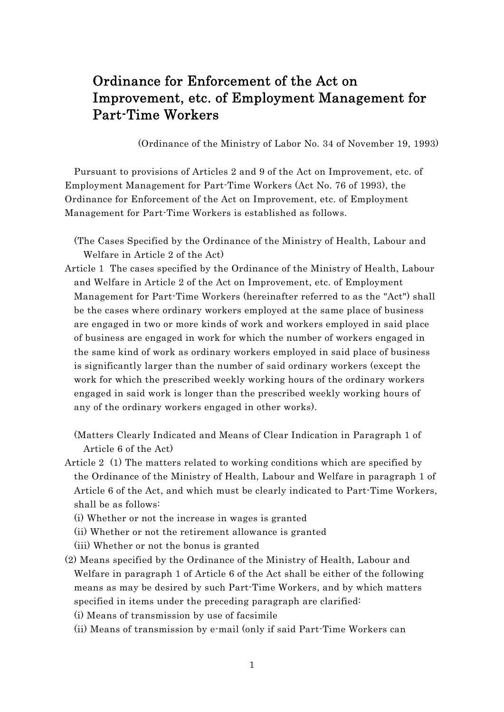# Ordinance for Enforcement of the Act on Improvement, etc. of Employment Management for Part-Time Workers

(Ordinance of the Ministry of Labor No. 34 of November 19, 1993)

Pursuant to provisions of Articles 2 and 9 of the Act on Improvement, etc. of Employment Management for Part-Time Workers (Act No. 76 of 1993), the Ordinance for Enforcement of the Act on Improvement, etc. of Employment Management for Part-Time Workers is established as follows.

(The Cases Specified by the Ordinance of the Ministry of Health, Labour and Welfare in Article 2 of the Act)

Article 1 The cases specified by the Ordinance of the Ministry of Health, Labour and Welfare in Article 2 of the Act on Improvement, etc. of Employment Management for Part-Time Workers (hereinafter referred to as the "Act") shall be the cases where ordinary workers employed at the same place of business are engaged in two or more kinds of work and workers employed in said place of business are engaged in work for which the number of workers engaged in the same kind of work as ordinary workers employed in said place of business is significantly larger than the number of said ordinary workers (except the work for which the prescribed weekly working hours of the ordinary workers engaged in said work is longer than the prescribed weekly working hours of any of the ordinary workers engaged in other works).

(Matters Clearly Indicated and Means of Clear Indication in Paragraph 1 of Article 6 of the Act)

- Article 2 (1) The matters related to working conditions which are specified by the Ordinance of the Ministry of Health, Labour and Welfare in paragraph 1 of Article 6 of the Act, and which must be clearly indicated to Part-Time Workers, shall be as follows:
	- (i) Whether or not the increase in wages is granted
	- (ii) Whether or not the retirement allowance is granted
	- (iii) Whether or not the bonus is granted
- (2) Means specified by the Ordinance of the Ministry of Health, Labour and Welfare in paragraph 1 of Article 6 of the Act shall be either of the following means as may be desired by such Part-Time Workers, and by which matters specified in items under the preceding paragraph are clarified:
	- (i) Means of transmission by use of facsimile
	- (ii) Means of transmission by e-mail (only if said Part-Time Workers can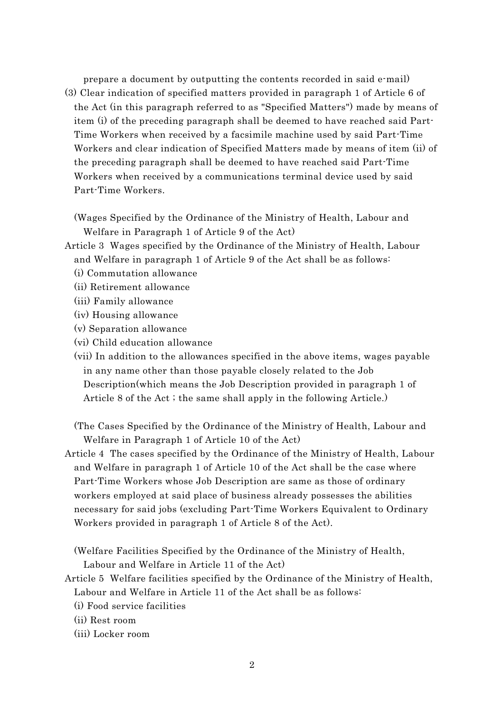prepare a document by outputting the contents recorded in said e-mail)

(3) Clear indication of specified matters provided in paragraph 1 of Article 6 of the Act (in this paragraph referred to as "Specified Matters") made by means of item (i) of the preceding paragraph shall be deemed to have reached said Part-Time Workers when received by a facsimile machine used by said Part-Time Workers and clear indication of Specified Matters made by means of item (ii) of the preceding paragraph shall be deemed to have reached said Part-Time Workers when received by a communications terminal device used by said Part-Time Workers.

(Wages Specified by the Ordinance of the Ministry of Health, Labour and Welfare in Paragraph 1 of Article 9 of the Act)

- Article 3 Wages specified by the Ordinance of the Ministry of Health, Labour and Welfare in paragraph 1 of Article 9 of the Act shall be as follows:
	- (i) Commutation allowance
	- (ii) Retirement allowance
	- (iii) Family allowance
	- (iv) Housing allowance
	- (v) Separation allowance
	- (vi) Child education allowance
	- (vii) In addition to the allowances specified in the above items, wages payable in any name other than those payable closely related to the Job Description(which means the Job Description provided in paragraph 1 of Article 8 of the Act ; the same shall apply in the following Article.)

(The Cases Specified by the Ordinance of the Ministry of Health, Labour and Welfare in Paragraph 1 of Article 10 of the Act)

Article 4 The cases specified by the Ordinance of the Ministry of Health, Labour and Welfare in paragraph 1 of Article 10 of the Act shall be the case where Part-Time Workers whose Job Description are same as those of ordinary workers employed at said place of business already possesses the abilities necessary for said jobs (excluding Part-Time Workers Equivalent to Ordinary Workers provided in paragraph 1 of Article 8 of the Act).

(Welfare Facilities Specified by the Ordinance of the Ministry of Health, Labour and Welfare in Article 11 of the Act)

- Article 5 Welfare facilities specified by the Ordinance of the Ministry of Health, Labour and Welfare in Article 11 of the Act shall be as follows:
	- (i) Food service facilities
	- (ii) Rest room
	- (iii) Locker room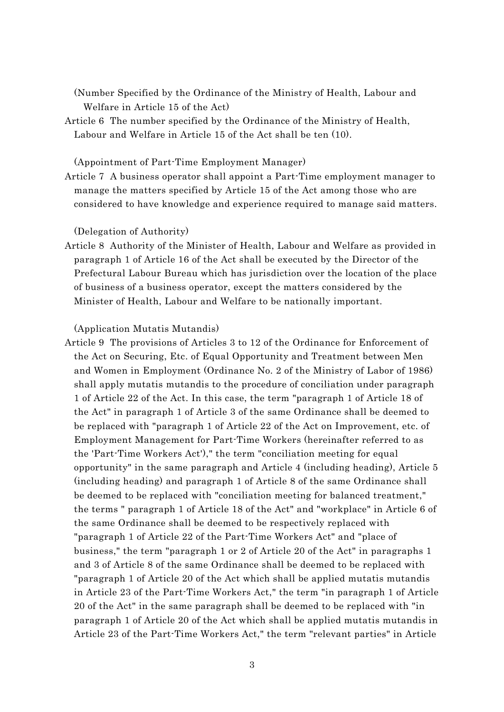(Number Specified by the Ordinance of the Ministry of Health, Labour and Welfare in Article 15 of the Act)

Article 6 The number specified by the Ordinance of the Ministry of Health, Labour and Welfare in Article 15 of the Act shall be ten (10).

(Appointment of Part-Time Employment Manager)

Article 7 A business operator shall appoint a Part-Time employment manager to manage the matters specified by Article 15 of the Act among those who are considered to have knowledge and experience required to manage said matters.

(Delegation of Authority)

Article 8 Authority of the Minister of Health, Labour and Welfare as provided in paragraph 1 of Article 16 of the Act shall be executed by the Director of the Prefectural Labour Bureau which has jurisdiction over the location of the place of business of a business operator, except the matters considered by the Minister of Health, Labour and Welfare to be nationally important.

(Application Mutatis Mutandis)

Article 9 The provisions of Articles 3 to 12 of the Ordinance for Enforcement of the Act on Securing, Etc. of Equal Opportunity and Treatment between Men and Women in Employment (Ordinance No. 2 of the Ministry of Labor of 1986) shall apply mutatis mutandis to the procedure of conciliation under paragraph 1 of Article 22 of the Act. In this case, the term "paragraph 1 of Article 18 of the Act" in paragraph 1 of Article 3 of the same Ordinance shall be deemed to be replaced with "paragraph 1 of Article 22 of the Act on Improvement, etc. of Employment Management for Part-Time Workers (hereinafter referred to as the 'Part-Time Workers Act')," the term "conciliation meeting for equal opportunity" in the same paragraph and Article 4 (including heading), Article 5 (including heading) and paragraph 1 of Article 8 of the same Ordinance shall be deemed to be replaced with "conciliation meeting for balanced treatment," the terms " paragraph 1 of Article 18 of the Act" and "workplace" in Article 6 of the same Ordinance shall be deemed to be respectively replaced with "paragraph 1 of Article 22 of the Part-Time Workers Act" and "place of business," the term "paragraph 1 or 2 of Article 20 of the Act" in paragraphs 1 and 3 of Article 8 of the same Ordinance shall be deemed to be replaced with "paragraph 1 of Article 20 of the Act which shall be applied mutatis mutandis in Article 23 of the Part-Time Workers Act," the term "in paragraph 1 of Article 20 of the Act" in the same paragraph shall be deemed to be replaced with "in paragraph 1 of Article 20 of the Act which shall be applied mutatis mutandis in Article 23 of the Part-Time Workers Act," the term "relevant parties" in Article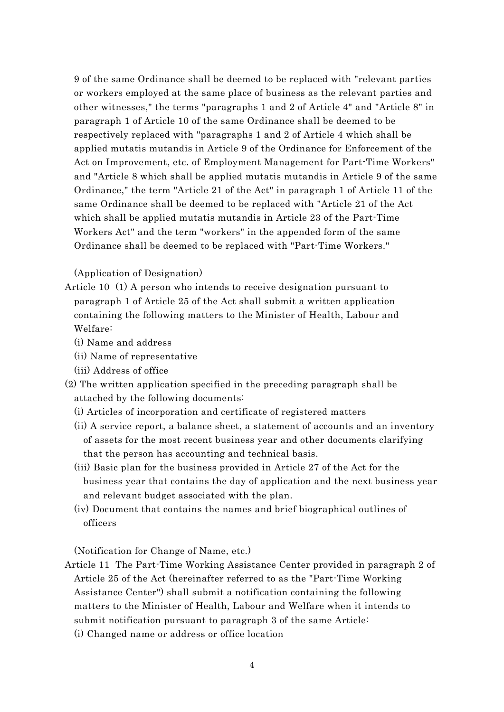9 of the same Ordinance shall be deemed to be replaced with "relevant parties or workers employed at the same place of business as the relevant parties and other witnesses," the terms "paragraphs 1 and 2 of Article 4" and "Article 8" in paragraph 1 of Article 10 of the same Ordinance shall be deemed to be respectively replaced with "paragraphs 1 and 2 of Article 4 which shall be applied mutatis mutandis in Article 9 of the Ordinance for Enforcement of the Act on Improvement, etc. of Employment Management for Part-Time Workers" and "Article 8 which shall be applied mutatis mutandis in Article 9 of the same Ordinance," the term "Article 21 of the Act" in paragraph 1 of Article 11 of the same Ordinance shall be deemed to be replaced with "Article 21 of the Act which shall be applied mutatis mutandis in Article 23 of the Part-Time Workers Act" and the term "workers" in the appended form of the same Ordinance shall be deemed to be replaced with "Part-Time Workers."

#### (Application of Designation)

- Article 10 (1) A person who intends to receive designation pursuant to paragraph 1 of Article 25 of the Act shall submit a written application containing the following matters to the Minister of Health, Labour and Welfare:
	- (i) Name and address
	- (ii) Name of representative
	- (iii) Address of office
- (2) The written application specified in the preceding paragraph shall be attached by the following documents:
	- (i) Articles of incorporation and certificate of registered matters
	- (ii) A service report, a balance sheet, a statement of accounts and an inventory of assets for the most recent business year and other documents clarifying that the person has accounting and technical basis.
	- (iii) Basic plan for the business provided in Article 27 of the Act for the business year that contains the day of application and the next business year and relevant budget associated with the plan.
	- (iv) Document that contains the names and brief biographical outlines of officers

(Notification for Change of Name, etc.)

Article 11 The Part-Time Working Assistance Center provided in paragraph 2 of Article 25 of the Act (hereinafter referred to as the "Part-Time Working Assistance Center") shall submit a notification containing the following matters to the Minister of Health, Labour and Welfare when it intends to submit notification pursuant to paragraph 3 of the same Article: (i) Changed name or address or office location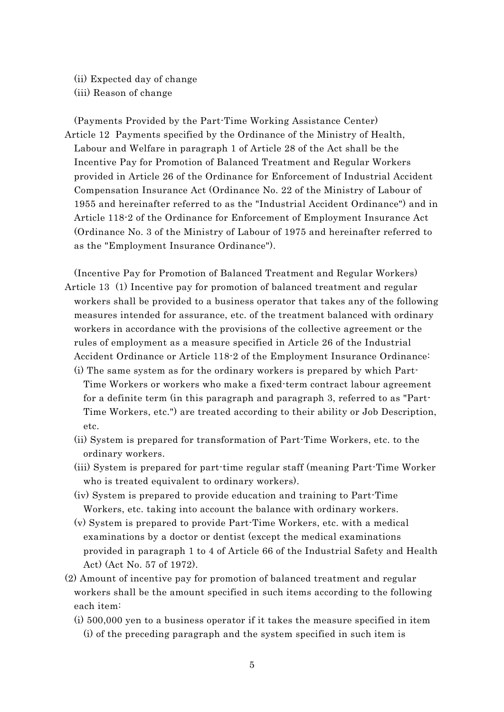(ii) Expected day of change (iii) Reason of change

(Payments Provided by the Part-Time Working Assistance Center) Article 12 Payments specified by the Ordinance of the Ministry of Health, Labour and Welfare in paragraph 1 of Article 28 of the Act shall be the Incentive Pay for Promotion of Balanced Treatment and Regular Workers provided in Article 26 of the Ordinance for Enforcement of Industrial Accident Compensation Insurance Act (Ordinance No. 22 of the Ministry of Labour of 1955 and hereinafter referred to as the "Industrial Accident Ordinance") and in Article 118-2 of the Ordinance for Enforcement of Employment Insurance Act (Ordinance No. 3 of the Ministry of Labour of 1975 and hereinafter referred to as the "Employment Insurance Ordinance").

- (Incentive Pay for Promotion of Balanced Treatment and Regular Workers) Article 13 (1) Incentive pay for promotion of balanced treatment and regular workers shall be provided to a business operator that takes any of the following measures intended for assurance, etc. of the treatment balanced with ordinary workers in accordance with the provisions of the collective agreement or the rules of employment as a measure specified in Article 26 of the Industrial Accident Ordinance or Article 118-2 of the Employment Insurance Ordinance:
	- (i) The same system as for the ordinary workers is prepared by which Part-Time Workers or workers who make a fixed-term contract labour agreement for a definite term (in this paragraph and paragraph 3, referred to as "Part-Time Workers, etc.") are treated according to their ability or Job Description, etc.
	- (ii) System is prepared for transformation of Part-Time Workers, etc. to the ordinary workers.
	- (iii) System is prepared for part-time regular staff (meaning Part-Time Worker who is treated equivalent to ordinary workers).
	- (iv) System is prepared to provide education and training to Part-Time Workers, etc. taking into account the balance with ordinary workers.
	- (v) System is prepared to provide Part-Time Workers, etc. with a medical examinations by a doctor or dentist (except the medical examinations provided in paragraph 1 to 4 of Article 66 of the Industrial Safety and Health Act) (Act No. 57 of 1972).
- (2) Amount of incentive pay for promotion of balanced treatment and regular workers shall be the amount specified in such items according to the following each item:
	- (i) 500,000 yen to a business operator if it takes the measure specified in item (i) of the preceding paragraph and the system specified in such item is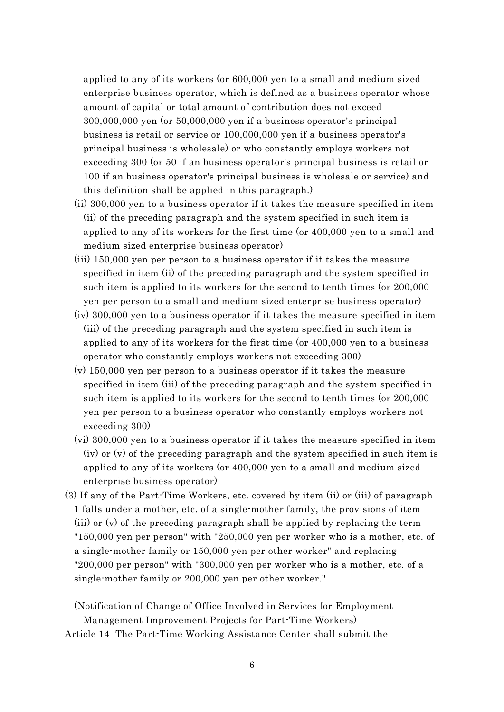applied to any of its workers (or 600,000 yen to a small and medium sized enterprise business operator, which is defined as a business operator whose amount of capital or total amount of contribution does not exceed 300,000,000 yen (or 50,000,000 yen if a business operator's principal business is retail or service or 100,000,000 yen if a business operator's principal business is wholesale) or who constantly employs workers not exceeding 300 (or 50 if an business operator's principal business is retail or 100 if an business operator's principal business is wholesale or service) and this definition shall be applied in this paragraph.)

- (ii) 300,000 yen to a business operator if it takes the measure specified in item (ii) of the preceding paragraph and the system specified in such item is applied to any of its workers for the first time (or 400,000 yen to a small and medium sized enterprise business operator)
- (iii) 150,000 yen per person to a business operator if it takes the measure specified in item (ii) of the preceding paragraph and the system specified in such item is applied to its workers for the second to tenth times (or 200,000 yen per person to a small and medium sized enterprise business operator)
- (iv) 300,000 yen to a business operator if it takes the measure specified in item (iii) of the preceding paragraph and the system specified in such item is applied to any of its workers for the first time (or 400,000 yen to a business operator who constantly employs workers not exceeding 300)
- (v) 150,000 yen per person to a business operator if it takes the measure specified in item (iii) of the preceding paragraph and the system specified in such item is applied to its workers for the second to tenth times (or 200,000 yen per person to a business operator who constantly employs workers not exceeding 300)
- (vi) 300,000 yen to a business operator if it takes the measure specified in item (iv) or (v) of the preceding paragraph and the system specified in such item is applied to any of its workers (or 400,000 yen to a small and medium sized enterprise business operator)
- (3) If any of the Part-Time Workers, etc. covered by item (ii) or (iii) of paragraph 1 falls under a mother, etc. of a single-mother family, the provisions of item (iii) or (v) of the preceding paragraph shall be applied by replacing the term "150,000 yen per person" with "250,000 yen per worker who is a mother, etc. of a single-mother family or 150,000 yen per other worker" and replacing "200,000 per person" with "300,000 yen per worker who is a mother, etc. of a single-mother family or 200,000 yen per other worker."

(Notification of Change of Office Involved in Services for Employment Management Improvement Projects for Part-Time Workers)

Article 14 The Part-Time Working Assistance Center shall submit the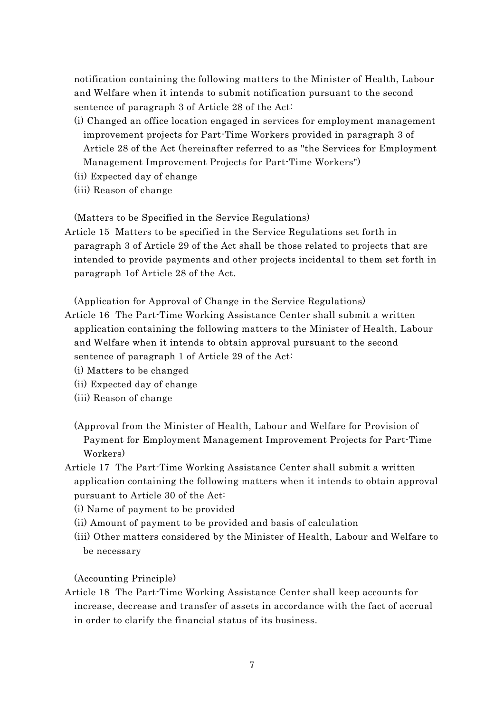notification containing the following matters to the Minister of Health, Labour and Welfare when it intends to submit notification pursuant to the second sentence of paragraph 3 of Article 28 of the Act:

- (i) Changed an office location engaged in services for employment management improvement projects for Part-Time Workers provided in paragraph 3 of Article 28 of the Act (hereinafter referred to as "the Services for Employment Management Improvement Projects for Part-Time Workers")
- (ii) Expected day of change
- (iii) Reason of change

(Matters to be Specified in the Service Regulations)

Article 15 Matters to be specified in the Service Regulations set forth in paragraph 3 of Article 29 of the Act shall be those related to projects that are intended to provide payments and other projects incidental to them set forth in paragraph 1of Article 28 of the Act.

(Application for Approval of Change in the Service Regulations)

- Article 16 The Part-Time Working Assistance Center shall submit a written application containing the following matters to the Minister of Health, Labour and Welfare when it intends to obtain approval pursuant to the second sentence of paragraph 1 of Article 29 of the Act:
	- (i) Matters to be changed
	- (ii) Expected day of change
	- (iii) Reason of change
	- (Approval from the Minister of Health, Labour and Welfare for Provision of Payment for Employment Management Improvement Projects for Part-Time Workers)
- Article 17 The Part-Time Working Assistance Center shall submit a written application containing the following matters when it intends to obtain approval pursuant to Article 30 of the Act:
	- (i) Name of payment to be provided
	- (ii) Amount of payment to be provided and basis of calculation
	- (iii) Other matters considered by the Minister of Health, Labour and Welfare to be necessary

(Accounting Principle)

Article 18 The Part-Time Working Assistance Center shall keep accounts for increase, decrease and transfer of assets in accordance with the fact of accrual in order to clarify the financial status of its business.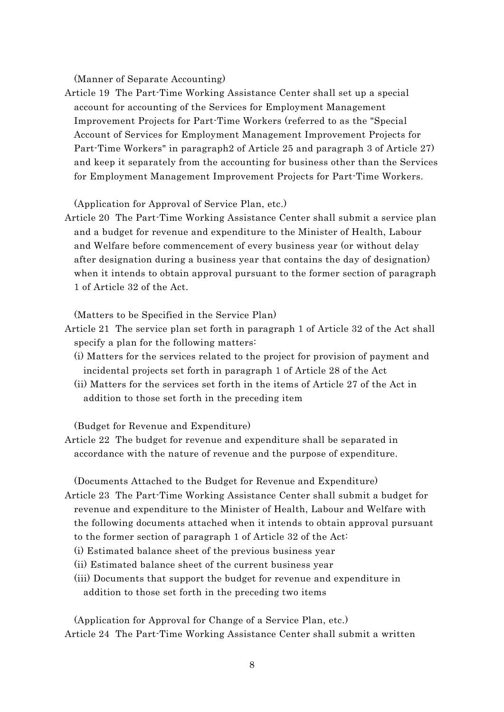(Manner of Separate Accounting)

Article 19 The Part-Time Working Assistance Center shall set up a special account for accounting of the Services for Employment Management Improvement Projects for Part-Time Workers (referred to as the "Special Account of Services for Employment Management Improvement Projects for Part-Time Workers" in paragraph2 of Article 25 and paragraph 3 of Article 27) and keep it separately from the accounting for business other than the Services for Employment Management Improvement Projects for Part-Time Workers.

(Application for Approval of Service Plan, etc.)

Article 20 The Part-Time Working Assistance Center shall submit a service plan and a budget for revenue and expenditure to the Minister of Health, Labour and Welfare before commencement of every business year (or without delay after designation during a business year that contains the day of designation) when it intends to obtain approval pursuant to the former section of paragraph 1 of Article 32 of the Act.

(Matters to be Specified in the Service Plan)

- Article 21 The service plan set forth in paragraph 1 of Article 32 of the Act shall specify a plan for the following matters:
	- (i) Matters for the services related to the project for provision of payment and incidental projects set forth in paragraph 1 of Article 28 of the Act
	- (ii) Matters for the services set forth in the items of Article 27 of the Act in addition to those set forth in the preceding item

(Budget for Revenue and Expenditure)

Article 22 The budget for revenue and expenditure shall be separated in accordance with the nature of revenue and the purpose of expenditure.

(Documents Attached to the Budget for Revenue and Expenditure)

- Article 23 The Part-Time Working Assistance Center shall submit a budget for revenue and expenditure to the Minister of Health, Labour and Welfare with the following documents attached when it intends to obtain approval pursuant to the former section of paragraph 1 of Article 32 of the Act: (i) Estimated balance sheet of the previous business year
	- (ii) Estimated balance sheet of the current business year
	- (iii) Documents that support the budget for revenue and expenditure in addition to those set forth in the preceding two items

(Application for Approval for Change of a Service Plan, etc.) Article 24 The Part-Time Working Assistance Center shall submit a written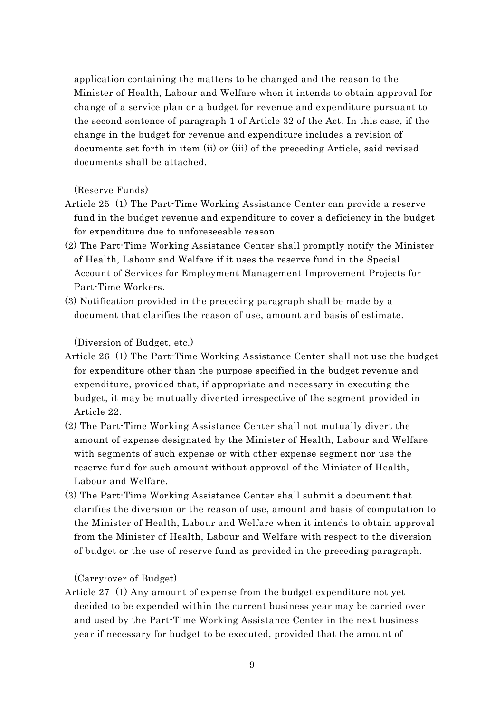application containing the matters to be changed and the reason to the Minister of Health, Labour and Welfare when it intends to obtain approval for change of a service plan or a budget for revenue and expenditure pursuant to the second sentence of paragraph 1 of Article 32 of the Act. In this case, if the change in the budget for revenue and expenditure includes a revision of documents set forth in item (ii) or (iii) of the preceding Article, said revised documents shall be attached.

(Reserve Funds)

- Article 25 (1) The Part-Time Working Assistance Center can provide a reserve fund in the budget revenue and expenditure to cover a deficiency in the budget for expenditure due to unforeseeable reason.
- (2) The Part-Time Working Assistance Center shall promptly notify the Minister of Health, Labour and Welfare if it uses the reserve fund in the Special Account of Services for Employment Management Improvement Projects for Part-Time Workers.
- (3) Notification provided in the preceding paragraph shall be made by a document that clarifies the reason of use, amount and basis of estimate.

(Diversion of Budget, etc.)

- Article 26 (1) The Part-Time Working Assistance Center shall not use the budget for expenditure other than the purpose specified in the budget revenue and expenditure, provided that, if appropriate and necessary in executing the budget, it may be mutually diverted irrespective of the segment provided in Article 22.
- (2) The Part-Time Working Assistance Center shall not mutually divert the amount of expense designated by the Minister of Health, Labour and Welfare with segments of such expense or with other expense segment nor use the reserve fund for such amount without approval of the Minister of Health, Labour and Welfare.
- (3) The Part-Time Working Assistance Center shall submit a document that clarifies the diversion or the reason of use, amount and basis of computation to the Minister of Health, Labour and Welfare when it intends to obtain approval from the Minister of Health, Labour and Welfare with respect to the diversion of budget or the use of reserve fund as provided in the preceding paragraph.

(Carry-over of Budget)

Article 27 (1) Any amount of expense from the budget expenditure not yet decided to be expended within the current business year may be carried over and used by the Part-Time Working Assistance Center in the next business year if necessary for budget to be executed, provided that the amount of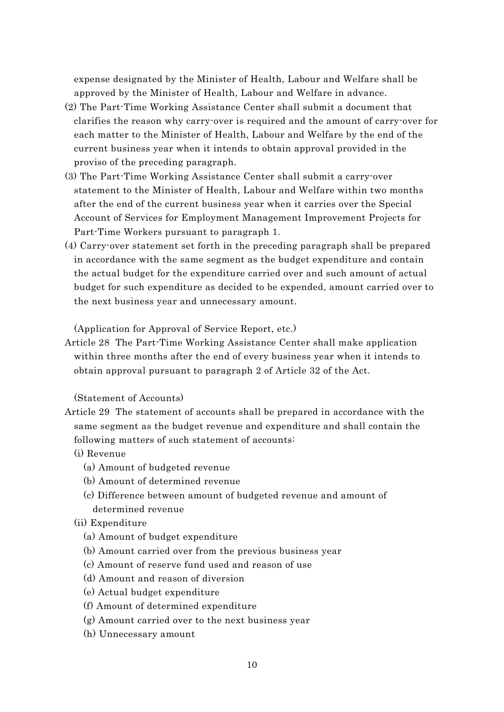expense designated by the Minister of Health, Labour and Welfare shall be approved by the Minister of Health, Labour and Welfare in advance.

- (2) The Part-Time Working Assistance Center shall submit a document that clarifies the reason why carry-over is required and the amount of carry-over for each matter to the Minister of Health, Labour and Welfare by the end of the current business year when it intends to obtain approval provided in the proviso of the preceding paragraph.
- (3) The Part-Time Working Assistance Center shall submit a carry-over statement to the Minister of Health, Labour and Welfare within two months after the end of the current business year when it carries over the Special Account of Services for Employment Management Improvement Projects for Part-Time Workers pursuant to paragraph 1.
- (4) Carry-over statement set forth in the preceding paragraph shall be prepared in accordance with the same segment as the budget expenditure and contain the actual budget for the expenditure carried over and such amount of actual budget for such expenditure as decided to be expended, amount carried over to the next business year and unnecessary amount.

(Application for Approval of Service Report, etc.)

Article 28 The Part-Time Working Assistance Center shall make application within three months after the end of every business year when it intends to obtain approval pursuant to paragraph 2 of Article 32 of the Act.

#### (Statement of Accounts)

- Article 29 The statement of accounts shall be prepared in accordance with the same segment as the budget revenue and expenditure and shall contain the following matters of such statement of accounts:
	- (i) Revenue
		- (a) Amount of budgeted revenue
		- (b) Amount of determined revenue
		- (c) Difference between amount of budgeted revenue and amount of determined revenue
	- (ii) Expenditure
		- (a) Amount of budget expenditure
		- (b) Amount carried over from the previous business year
		- (c) Amount of reserve fund used and reason of use
		- (d) Amount and reason of diversion
		- (e) Actual budget expenditure
		- (f) Amount of determined expenditure
		- (g) Amount carried over to the next business year
		- (h) Unnecessary amount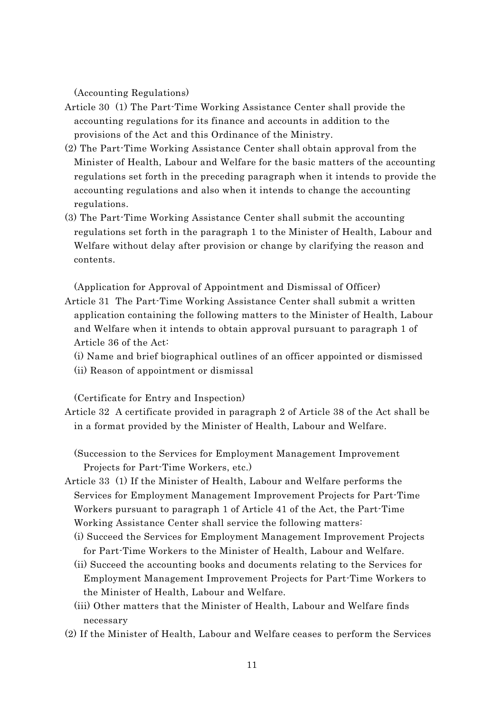(Accounting Regulations)

- Article 30 (1) The Part-Time Working Assistance Center shall provide the accounting regulations for its finance and accounts in addition to the provisions of the Act and this Ordinance of the Ministry.
- (2) The Part-Time Working Assistance Center shall obtain approval from the Minister of Health, Labour and Welfare for the basic matters of the accounting regulations set forth in the preceding paragraph when it intends to provide the accounting regulations and also when it intends to change the accounting regulations.
- (3) The Part-Time Working Assistance Center shall submit the accounting regulations set forth in the paragraph 1 to the Minister of Health, Labour and Welfare without delay after provision or change by clarifying the reason and contents.

(Application for Approval of Appointment and Dismissal of Officer) Article 31 The Part-Time Working Assistance Center shall submit a written application containing the following matters to the Minister of Health, Labour and Welfare when it intends to obtain approval pursuant to paragraph 1 of

Article 36 of the Act:

(i) Name and brief biographical outlines of an officer appointed or dismissed

(ii) Reason of appointment or dismissal

(Certificate for Entry and Inspection)

Article 32 A certificate provided in paragraph 2 of Article 38 of the Act shall be in a format provided by the Minister of Health, Labour and Welfare.

(Succession to the Services for Employment Management Improvement Projects for Part-Time Workers, etc.)

- Article 33 (1) If the Minister of Health, Labour and Welfare performs the Services for Employment Management Improvement Projects for Part-Time Workers pursuant to paragraph 1 of Article 41 of the Act, the Part-Time Working Assistance Center shall service the following matters:
	- (i) Succeed the Services for Employment Management Improvement Projects for Part-Time Workers to the Minister of Health, Labour and Welfare.
	- (ii) Succeed the accounting books and documents relating to the Services for Employment Management Improvement Projects for Part-Time Workers to the Minister of Health, Labour and Welfare.
	- (iii) Other matters that the Minister of Health, Labour and Welfare finds necessary
- (2) If the Minister of Health, Labour and Welfare ceases to perform the Services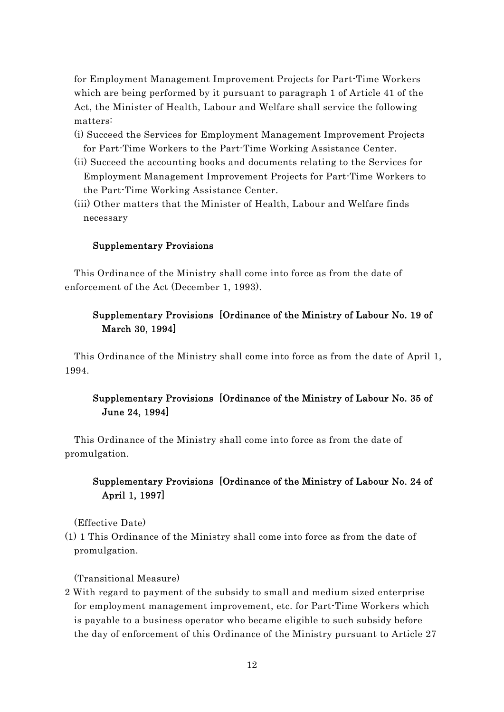for Employment Management Improvement Projects for Part-Time Workers which are being performed by it pursuant to paragraph 1 of Article 41 of the Act, the Minister of Health, Labour and Welfare shall service the following matters:

- (i) Succeed the Services for Employment Management Improvement Projects for Part-Time Workers to the Part-Time Working Assistance Center.
- (ii) Succeed the accounting books and documents relating to the Services for Employment Management Improvement Projects for Part-Time Workers to the Part-Time Working Assistance Center.
- (iii) Other matters that the Minister of Health, Labour and Welfare finds necessary

# Supplementary Provisions

This Ordinance of the Ministry shall come into force as from the date of enforcement of the Act (December 1, 1993).

# Supplementary Provisions [Ordinance of the Ministry of Labour No. 19 of March 30, 1994]

This Ordinance of the Ministry shall come into force as from the date of April 1, 1994.

# Supplementary Provisions [Ordinance of the Ministry of Labour No. 35 of June 24, 1994]

This Ordinance of the Ministry shall come into force as from the date of promulgation.

# Supplementary Provisions [Ordinance of the Ministry of Labour No. 24 of April 1, 1997]

(Effective Date)

(1) 1 This Ordinance of the Ministry shall come into force as from the date of promulgation.

(Transitional Measure)

2 With regard to payment of the subsidy to small and medium sized enterprise for employment management improvement, etc. for Part-Time Workers which is payable to a business operator who became eligible to such subsidy before the day of enforcement of this Ordinance of the Ministry pursuant to Article 27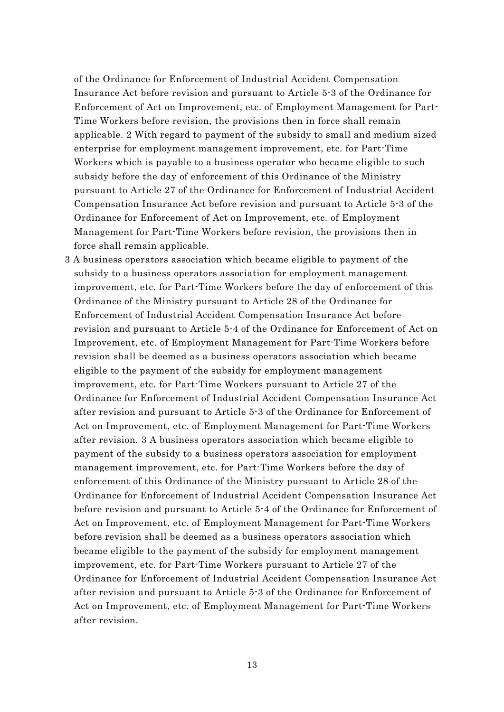of the Ordinance for Enforcement of Industrial Accident Compensation Insurance Act before revision and pursuant to Article 5-3 of the Ordinance for Enforcement of Act on Improvement, etc. of Employment Management for Part-Time Workers before revision, the provisions then in force shall remain applicable. 2 With regard to payment of the subsidy to small and medium sized enterprise for employment management improvement, etc. for Part-Time Workers which is payable to a business operator who became eligible to such subsidy before the day of enforcement of this Ordinance of the Ministry pursuant to Article 27 of the Ordinance for Enforcement of Industrial Accident Compensation Insurance Act before revision and pursuant to Article 5-3 of the Ordinance for Enforcement of Act on Improvement, etc. of Employment Management for Part-Time Workers before revision, the provisions then in force shall remain applicable.

3 A business operators association which became eligible to payment of the subsidy to a business operators association for employment management improvement, etc. for Part-Time Workers before the day of enforcement of this Ordinance of the Ministry pursuant to Article 28 of the Ordinance for Enforcement of Industrial Accident Compensation Insurance Act before revision and pursuant to Article 5-4 of the Ordinance for Enforcement of Act on Improvement, etc. of Employment Management for Part-Time Workers before revision shall be deemed as a business operators association which became eligible to the payment of the subsidy for employment management improvement, etc. for Part-Time Workers pursuant to Article 27 of the Ordinance for Enforcement of Industrial Accident Compensation Insurance Act after revision and pursuant to Article 5-3 of the Ordinance for Enforcement of Act on Improvement, etc. of Employment Management for Part-Time Workers after revision. 3 A business operators association which became eligible to payment of the subsidy to a business operators association for employment management improvement, etc. for Part-Time Workers before the day of enforcement of this Ordinance of the Ministry pursuant to Article 28 of the Ordinance for Enforcement of Industrial Accident Compensation Insurance Act before revision and pursuant to Article 5-4 of the Ordinance for Enforcement of Act on Improvement, etc. of Employment Management for Part-Time Workers before revision shall be deemed as a business operators association which became eligible to the payment of the subsidy for employment management improvement, etc. for Part-Time Workers pursuant to Article 27 of the Ordinance for Enforcement of Industrial Accident Compensation Insurance Act after revision and pursuant to Article 5-3 of the Ordinance for Enforcement of Act on Improvement, etc. of Employment Management for Part-Time Workers after revision.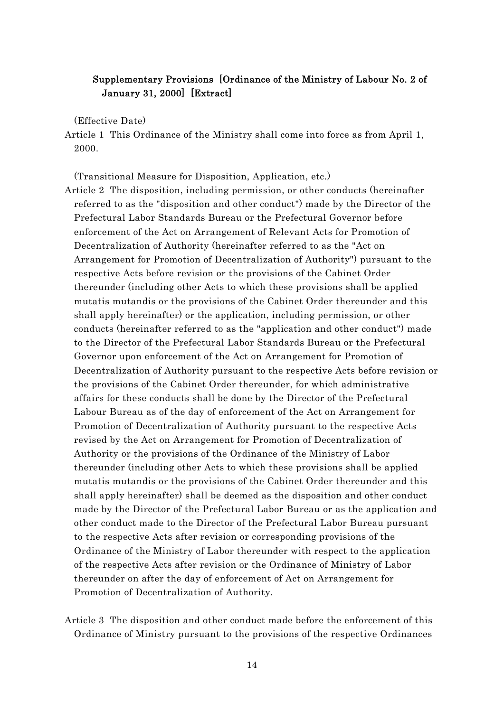# Supplementary Provisions [Ordinance of the Ministry of Labour No. 2 of January 31, 2000] [Extract]

(Effective Date)

Article 1 This Ordinance of the Ministry shall come into force as from April 1, 2000.

(Transitional Measure for Disposition, Application, etc.)

- Article 2 The disposition, including permission, or other conducts (hereinafter referred to as the "disposition and other conduct") made by the Director of the Prefectural Labor Standards Bureau or the Prefectural Governor before enforcement of the Act on Arrangement of Relevant Acts for Promotion of Decentralization of Authority (hereinafter referred to as the "Act on Arrangement for Promotion of Decentralization of Authority") pursuant to the respective Acts before revision or the provisions of the Cabinet Order thereunder (including other Acts to which these provisions shall be applied mutatis mutandis or the provisions of the Cabinet Order thereunder and this shall apply hereinafter) or the application, including permission, or other conducts (hereinafter referred to as the "application and other conduct") made to the Director of the Prefectural Labor Standards Bureau or the Prefectural Governor upon enforcement of the Act on Arrangement for Promotion of Decentralization of Authority pursuant to the respective Acts before revision or the provisions of the Cabinet Order thereunder, for which administrative affairs for these conducts shall be done by the Director of the Prefectural Labour Bureau as of the day of enforcement of the Act on Arrangement for Promotion of Decentralization of Authority pursuant to the respective Acts revised by the Act on Arrangement for Promotion of Decentralization of Authority or the provisions of the Ordinance of the Ministry of Labor thereunder (including other Acts to which these provisions shall be applied mutatis mutandis or the provisions of the Cabinet Order thereunder and this shall apply hereinafter) shall be deemed as the disposition and other conduct made by the Director of the Prefectural Labor Bureau or as the application and other conduct made to the Director of the Prefectural Labor Bureau pursuant to the respective Acts after revision or corresponding provisions of the Ordinance of the Ministry of Labor thereunder with respect to the application of the respective Acts after revision or the Ordinance of Ministry of Labor thereunder on after the day of enforcement of Act on Arrangement for Promotion of Decentralization of Authority.
- Article 3 The disposition and other conduct made before the enforcement of this Ordinance of Ministry pursuant to the provisions of the respective Ordinances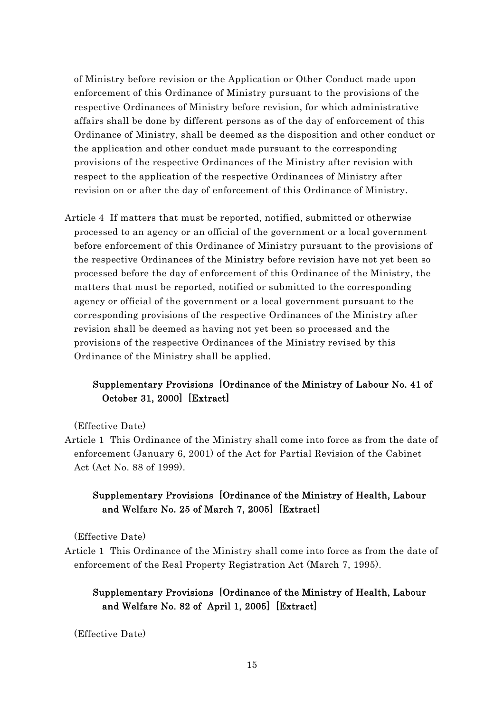of Ministry before revision or the Application or Other Conduct made upon enforcement of this Ordinance of Ministry pursuant to the provisions of the respective Ordinances of Ministry before revision, for which administrative affairs shall be done by different persons as of the day of enforcement of this Ordinance of Ministry, shall be deemed as the disposition and other conduct or the application and other conduct made pursuant to the corresponding provisions of the respective Ordinances of the Ministry after revision with respect to the application of the respective Ordinances of Ministry after revision on or after the day of enforcement of this Ordinance of Ministry.

Article 4 If matters that must be reported, notified, submitted or otherwise processed to an agency or an official of the government or a local government before enforcement of this Ordinance of Ministry pursuant to the provisions of the respective Ordinances of the Ministry before revision have not yet been so processed before the day of enforcement of this Ordinance of the Ministry, the matters that must be reported, notified or submitted to the corresponding agency or official of the government or a local government pursuant to the corresponding provisions of the respective Ordinances of the Ministry after revision shall be deemed as having not yet been so processed and the provisions of the respective Ordinances of the Ministry revised by this Ordinance of the Ministry shall be applied.

# Supplementary Provisions [Ordinance of the Ministry of Labour No. 41 of October 31, 2000] [Extract]

(Effective Date)

Article 1 This Ordinance of the Ministry shall come into force as from the date of enforcement (January 6, 2001) of the Act for Partial Revision of the Cabinet Act (Act No. 88 of 1999).

# Supplementary Provisions [Ordinance of the Ministry of Health, Labour and Welfare No. 25 of March 7, 2005] [Extract]

(Effective Date)

Article 1 This Ordinance of the Ministry shall come into force as from the date of enforcement of the Real Property Registration Act (March 7, 1995).

# Supplementary Provisions [Ordinance of the Ministry of Health, Labour and Welfare No. 82 of April 1, 2005] [Extract]

(Effective Date)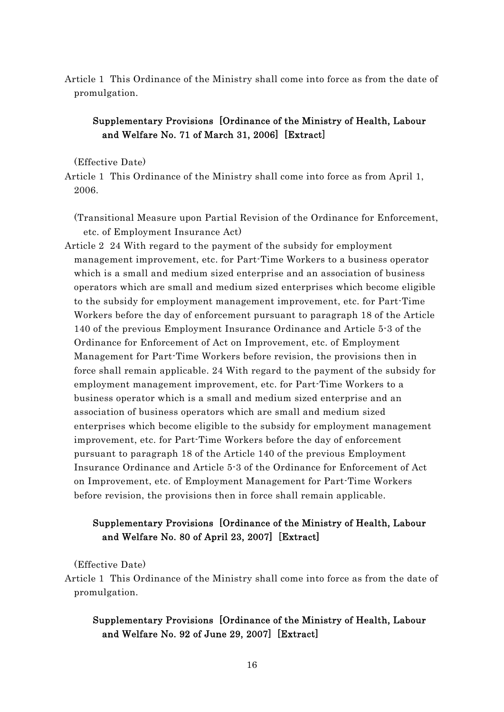Article 1 This Ordinance of the Ministry shall come into force as from the date of promulgation.

# Supplementary Provisions [Ordinance of the Ministry of Health, Labour and Welfare No. 71 of March 31, 2006] [Extract]

#### (Effective Date)

Article 1 This Ordinance of the Ministry shall come into force as from April 1, 2006.

(Transitional Measure upon Partial Revision of the Ordinance for Enforcement, etc. of Employment Insurance Act)

Article 2 24 With regard to the payment of the subsidy for employment management improvement, etc. for Part-Time Workers to a business operator which is a small and medium sized enterprise and an association of business operators which are small and medium sized enterprises which become eligible to the subsidy for employment management improvement, etc. for Part-Time Workers before the day of enforcement pursuant to paragraph 18 of the Article 140 of the previous Employment Insurance Ordinance and Article 5-3 of the Ordinance for Enforcement of Act on Improvement, etc. of Employment Management for Part-Time Workers before revision, the provisions then in force shall remain applicable. 24 With regard to the payment of the subsidy for employment management improvement, etc. for Part-Time Workers to a business operator which is a small and medium sized enterprise and an association of business operators which are small and medium sized enterprises which become eligible to the subsidy for employment management improvement, etc. for Part-Time Workers before the day of enforcement pursuant to paragraph 18 of the Article 140 of the previous Employment Insurance Ordinance and Article 5-3 of the Ordinance for Enforcement of Act on Improvement, etc. of Employment Management for Part-Time Workers before revision, the provisions then in force shall remain applicable.

# Supplementary Provisions [Ordinance of the Ministry of Health, Labour and Welfare No. 80 of April 23, 2007] [Extract]

(Effective Date)

Article 1 This Ordinance of the Ministry shall come into force as from the date of promulgation.

# Supplementary Provisions [Ordinance of the Ministry of Health, Labour and Welfare No. 92 of June 29, 2007] [Extract]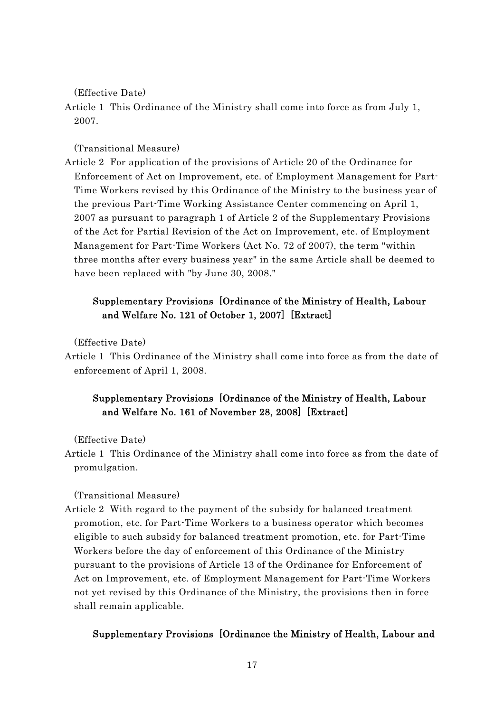(Effective Date)

Article 1 This Ordinance of the Ministry shall come into force as from July 1, 2007.

(Transitional Measure)

Article 2 For application of the provisions of Article 20 of the Ordinance for Enforcement of Act on Improvement, etc. of Employment Management for Part-Time Workers revised by this Ordinance of the Ministry to the business year of the previous Part-Time Working Assistance Center commencing on April 1, 2007 as pursuant to paragraph 1 of Article 2 of the Supplementary Provisions of the Act for Partial Revision of the Act on Improvement, etc. of Employment Management for Part-Time Workers (Act No. 72 of 2007), the term "within three months after every business year" in the same Article shall be deemed to have been replaced with "by June 30, 2008."

# Supplementary Provisions [Ordinance of the Ministry of Health, Labour and Welfare No. 121 of October 1, 2007] [Extract]

(Effective Date)

Article 1 This Ordinance of the Ministry shall come into force as from the date of enforcement of April 1, 2008.

# Supplementary Provisions [Ordinance of the Ministry of Health, Labour and Welfare No. 161 of November 28, 2008] [Extract]

(Effective Date)

Article 1 This Ordinance of the Ministry shall come into force as from the date of promulgation.

(Transitional Measure)

Article 2 With regard to the payment of the subsidy for balanced treatment promotion, etc. for Part-Time Workers to a business operator which becomes eligible to such subsidy for balanced treatment promotion, etc. for Part-Time Workers before the day of enforcement of this Ordinance of the Ministry pursuant to the provisions of Article 13 of the Ordinance for Enforcement of Act on Improvement, etc. of Employment Management for Part-Time Workers not yet revised by this Ordinance of the Ministry, the provisions then in force shall remain applicable.

#### Supplementary Provisions [Ordinance the Ministry of Health, Labour and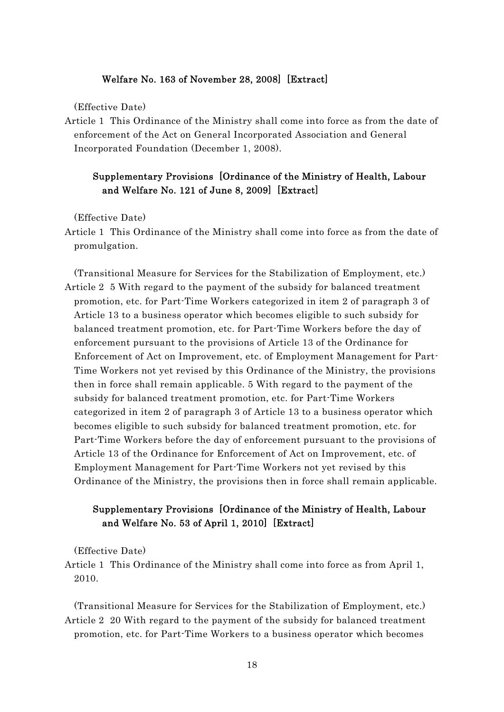#### Welfare No. 163 of November 28, 2008] [Extract]

(Effective Date)

Article 1 This Ordinance of the Ministry shall come into force as from the date of enforcement of the Act on General Incorporated Association and General Incorporated Foundation (December 1, 2008).

### Supplementary Provisions [Ordinance of the Ministry of Health, Labour and Welfare No. 121 of June 8, 2009] [Extract]

(Effective Date)

- Article 1 This Ordinance of the Ministry shall come into force as from the date of promulgation.
- (Transitional Measure for Services for the Stabilization of Employment, etc.) Article 2 5 With regard to the payment of the subsidy for balanced treatment promotion, etc. for Part-Time Workers categorized in item 2 of paragraph 3 of Article 13 to a business operator which becomes eligible to such subsidy for balanced treatment promotion, etc. for Part-Time Workers before the day of enforcement pursuant to the provisions of Article 13 of the Ordinance for Enforcement of Act on Improvement, etc. of Employment Management for Part-Time Workers not yet revised by this Ordinance of the Ministry, the provisions then in force shall remain applicable. 5 With regard to the payment of the subsidy for balanced treatment promotion, etc. for Part-Time Workers categorized in item 2 of paragraph 3 of Article 13 to a business operator which becomes eligible to such subsidy for balanced treatment promotion, etc. for Part-Time Workers before the day of enforcement pursuant to the provisions of Article 13 of the Ordinance for Enforcement of Act on Improvement, etc. of Employment Management for Part-Time Workers not yet revised by this Ordinance of the Ministry, the provisions then in force shall remain applicable.

# Supplementary Provisions [Ordinance of the Ministry of Health, Labour and Welfare No. 53 of April 1, 2010] [Extract]

(Effective Date)

Article 1 This Ordinance of the Ministry shall come into force as from April 1, 2010.

(Transitional Measure for Services for the Stabilization of Employment, etc.) Article 2 20 With regard to the payment of the subsidy for balanced treatment promotion, etc. for Part-Time Workers to a business operator which becomes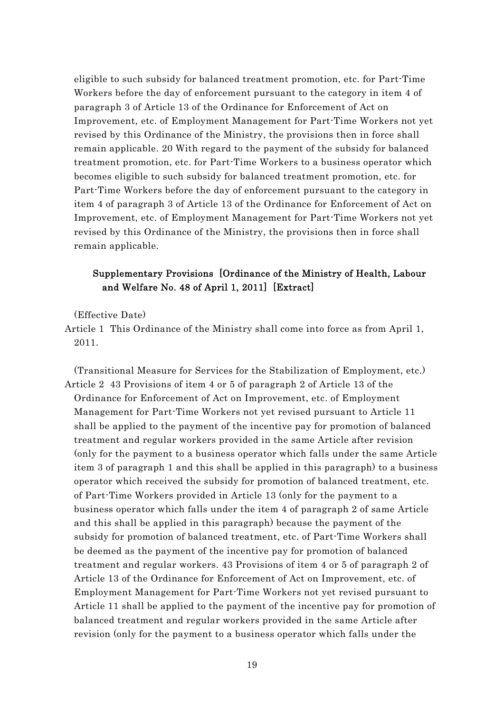eligible to such subsidy for balanced treatment promotion, etc. for Part-Time Workers before the day of enforcement pursuant to the category in item 4 of paragraph 3 of Article 13 of the Ordinance for Enforcement of Act on Improvement, etc. of Employment Management for Part-Time Workers not yet revised by this Ordinance of the Ministry, the provisions then in force shall remain applicable. 20 With regard to the payment of the subsidy for balanced treatment promotion, etc. for Part-Time Workers to a business operator which becomes eligible to such subsidy for balanced treatment promotion, etc. for Part-Time Workers before the day of enforcement pursuant to the category in item 4 of paragraph 3 of Article 13 of the Ordinance for Enforcement of Act on Improvement, etc. of Employment Management for Part-Time Workers not yet revised by this Ordinance of the Ministry, the provisions then in force shall remain applicable.

# Supplementary Provisions [Ordinance of the Ministry of Health, Labour and Welfare No. 48 of April 1, 2011] [Extract]

(Effective Date)

Article 1 This Ordinance of the Ministry shall come into force as from April 1, 2011.

(Transitional Measure for Services for the Stabilization of Employment, etc.) Article 2 43 Provisions of item 4 or 5 of paragraph 2 of Article 13 of the Ordinance for Enforcement of Act on Improvement, etc. of Employment Management for Part-Time Workers not yet revised pursuant to Article 11 shall be applied to the payment of the incentive pay for promotion of balanced treatment and regular workers provided in the same Article after revision (only for the payment to a business operator which falls under the same Article item 3 of paragraph 1 and this shall be applied in this paragraph) to a business operator which received the subsidy for promotion of balanced treatment, etc. of Part-Time Workers provided in Article 13 (only for the payment to a business operator which falls under the item 4 of paragraph 2 of same Article and this shall be applied in this paragraph) because the payment of the subsidy for promotion of balanced treatment, etc. of Part-Time Workers shall be deemed as the payment of the incentive pay for promotion of balanced treatment and regular workers. 43 Provisions of item 4 or 5 of paragraph 2 of Article 13 of the Ordinance for Enforcement of Act on Improvement, etc. of Employment Management for Part-Time Workers not yet revised pursuant to Article 11 shall be applied to the payment of the incentive pay for promotion of balanced treatment and regular workers provided in the same Article after revision (only for the payment to a business operator which falls under the